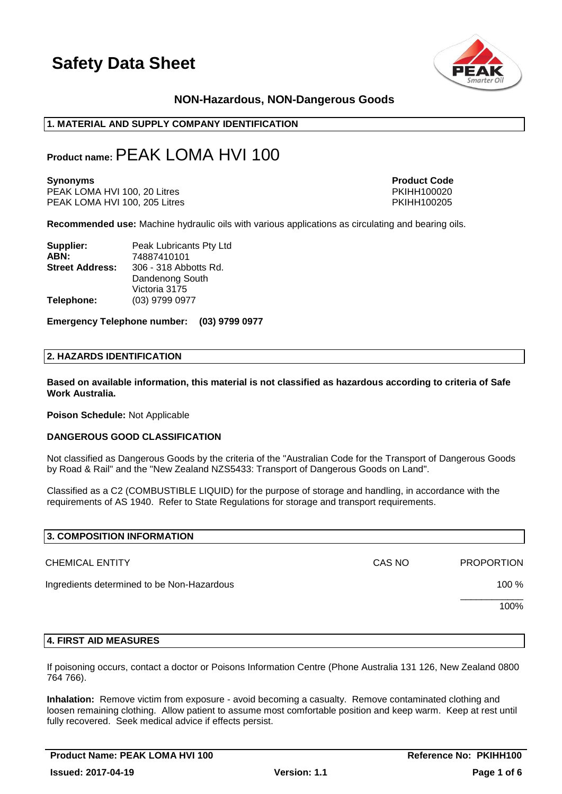

# **NON-Hazardous, NON-Dangerous Goods**

## **1. MATERIAL AND SUPPLY COMPANY IDENTIFICATION**

# **Product name:**PEAK LOMA HVI 100

PEAK LOMA HVI 100, 20 Litres PKIHH100020<br>PEAK LOMA HVI 100. 205 Litres PKIHH100205 PEAK LOMA HVI 100, 205 Litres

**Synonyms Product Code** 

**Recommended use:** Machine hydraulic oils with various applications as circulating and bearing oils.

| Supplier:              | Peak Lubricants Pty Ltd |  |
|------------------------|-------------------------|--|
| ABN:                   | 74887410101             |  |
| <b>Street Address:</b> | 306 - 318 Abbotts Rd.   |  |
|                        | Dandenong South         |  |
|                        | Victoria 3175           |  |
| Telephone:             | (03) 9799 0977          |  |

**Emergency Telephone number: (03) 9799 0977**

#### **2. HAZARDS IDENTIFICATION**

**Based on available information, this material is not classified as hazardous according to criteria of Safe Work Australia.**

**Poison Schedule:** Not Applicable

#### **DANGEROUS GOOD CLASSIFICATION**

Not classified as Dangerous Goods by the criteria of the "Australian Code for the Transport of Dangerous Goods by Road & Rail" and the "New Zealand NZS5433: Transport of Dangerous Goods on Land".

Classified as a C2 (COMBUSTIBLE LIQUID) for the purpose of storage and handling, in accordance with the requirements of AS 1940. Refer to State Regulations for storage and transport requirements.

| 3. COMPOSITION INFORMATION                 |        |                   |
|--------------------------------------------|--------|-------------------|
| <b>CHEMICAL ENTITY</b>                     | CAS NO | <b>PROPORTION</b> |
| Ingredients determined to be Non-Hazardous |        | 100 %             |
|                                            |        | 100%              |
|                                            |        |                   |

#### **4. FIRST AID MEASURES**

If poisoning occurs, contact a doctor or Poisons Information Centre (Phone Australia 131 126, New Zealand 0800 764 766).

**Inhalation:** Remove victim from exposure - avoid becoming a casualty. Remove contaminated clothing and loosen remaining clothing. Allow patient to assume most comfortable position and keep warm. Keep at rest until fully recovered. Seek medical advice if effects persist.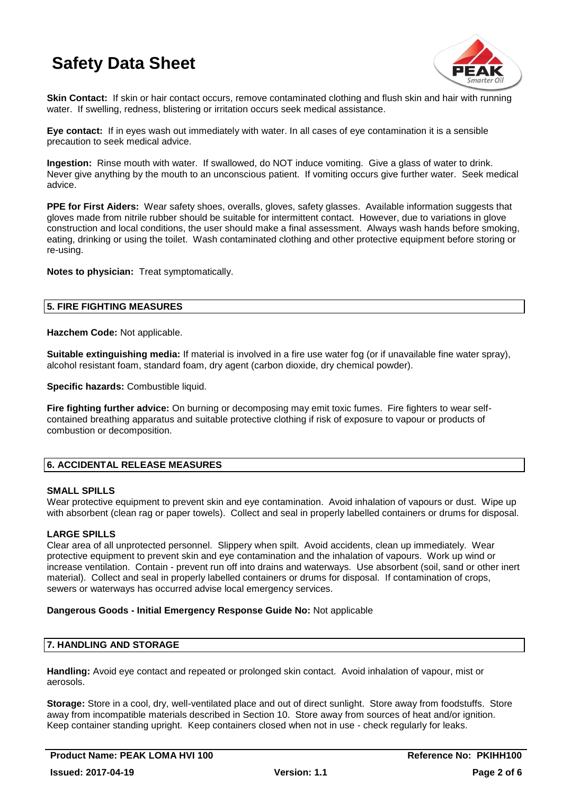

**Skin Contact:** If skin or hair contact occurs, remove contaminated clothing and flush skin and hair with running water. If swelling, redness, blistering or irritation occurs seek medical assistance.

**Eye contact:** If in eyes wash out immediately with water. In all cases of eye contamination it is a sensible precaution to seek medical advice.

**Ingestion:** Rinse mouth with water. If swallowed, do NOT induce vomiting. Give a glass of water to drink. Never give anything by the mouth to an unconscious patient. If vomiting occurs give further water. Seek medical advice.

**PPE for First Aiders:** Wear safety shoes, overalls, gloves, safety glasses. Available information suggests that gloves made from nitrile rubber should be suitable for intermittent contact. However, due to variations in glove construction and local conditions, the user should make a final assessment. Always wash hands before smoking, eating, drinking or using the toilet. Wash contaminated clothing and other protective equipment before storing or re-using.

**Notes to physician:** Treat symptomatically.

# **5. FIRE FIGHTING MEASURES**

**Hazchem Code:** Not applicable.

**Suitable extinguishing media:** If material is involved in a fire use water fog (or if unavailable fine water spray), alcohol resistant foam, standard foam, dry agent (carbon dioxide, dry chemical powder).

**Specific hazards:** Combustible liquid.

**Fire fighting further advice:** On burning or decomposing may emit toxic fumes. Fire fighters to wear selfcontained breathing apparatus and suitable protective clothing if risk of exposure to vapour or products of combustion or decomposition.

# **6. ACCIDENTAL RELEASE MEASURES**

## **SMALL SPILLS**

Wear protective equipment to prevent skin and eye contamination. Avoid inhalation of vapours or dust. Wipe up with absorbent (clean rag or paper towels). Collect and seal in properly labelled containers or drums for disposal.

# **LARGE SPILLS**

Clear area of all unprotected personnel. Slippery when spilt. Avoid accidents, clean up immediately. Wear protective equipment to prevent skin and eye contamination and the inhalation of vapours. Work up wind or increase ventilation. Contain - prevent run off into drains and waterways. Use absorbent (soil, sand or other inert material). Collect and seal in properly labelled containers or drums for disposal. If contamination of crops, sewers or waterways has occurred advise local emergency services.

## **Dangerous Goods - Initial Emergency Response Guide No:** Not applicable

# **7. HANDLING AND STORAGE**

**Handling:** Avoid eye contact and repeated or prolonged skin contact. Avoid inhalation of vapour, mist or aerosols.

**Storage:** Store in a cool, dry, well-ventilated place and out of direct sunlight. Store away from foodstuffs. Store away from incompatible materials described in Section 10. Store away from sources of heat and/or ignition. Keep container standing upright. Keep containers closed when not in use - check regularly for leaks.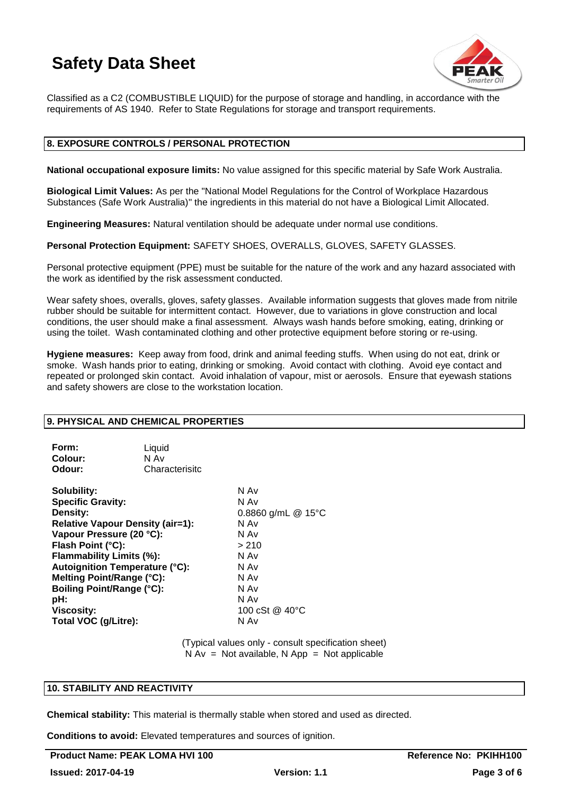

Classified as a C2 (COMBUSTIBLE LIQUID) for the purpose of storage and handling, in accordance with the requirements of AS 1940. Refer to State Regulations for storage and transport requirements.

## **8. EXPOSURE CONTROLS / PERSONAL PROTECTION**

**National occupational exposure limits:** No value assigned for this specific material by Safe Work Australia.

**Biological Limit Values:** As per the "National Model Regulations for the Control of Workplace Hazardous Substances (Safe Work Australia)" the ingredients in this material do not have a Biological Limit Allocated.

**Engineering Measures:** Natural ventilation should be adequate under normal use conditions.

**Personal Protection Equipment:** SAFETY SHOES, OVERALLS, GLOVES, SAFETY GLASSES.

Personal protective equipment (PPE) must be suitable for the nature of the work and any hazard associated with the work as identified by the risk assessment conducted.

Wear safety shoes, overalls, gloves, safety glasses. Available information suggests that gloves made from nitrile rubber should be suitable for intermittent contact. However, due to variations in glove construction and local conditions, the user should make a final assessment. Always wash hands before smoking, eating, drinking or using the toilet. Wash contaminated clothing and other protective equipment before storing or re-using.

**Hygiene measures:** Keep away from food, drink and animal feeding stuffs. When using do not eat, drink or smoke. Wash hands prior to eating, drinking or smoking. Avoid contact with clothing. Avoid eye contact and repeated or prolonged skin contact. Avoid inhalation of vapour, mist or aerosols. Ensure that eyewash stations and safety showers are close to the workstation location.

#### **9. PHYSICAL AND CHEMICAL PROPERTIES**

| Form:   | Liquid         |
|---------|----------------|
| Colour: | N Av           |
| Odour:  | Characterisitc |

**Solubility:** N Av **Specific Gravity:** N Av **Density:** 0.8860 g/mL @ 15°C **Relative Vapour Density (air=1):** N Av **Vapour Pressure (20 °C):** N Av **Flash Point (°C):** > 210 **Flammability Limits (%): Autoignition Temperature (°C):** N Av **Melting Point/Range (°C):** N Av **Boiling Point/Range (°C):** N Av<br> **pH:** N Av **pH:** N Av **Viscosity:** 100 cSt @ 40°C **Total VOC (g/Litre):** N Av

> (Typical values only - consult specification sheet)  $N Av = Not available, N App = Not applicable$

# **10. STABILITY AND REACTIVITY**

**Chemical stability:** This material is thermally stable when stored and used as directed.

**Conditions to avoid:** Elevated temperatures and sources of ignition.

Product Name: PEAK LOMA HVI 100 Reference No: PKIHH100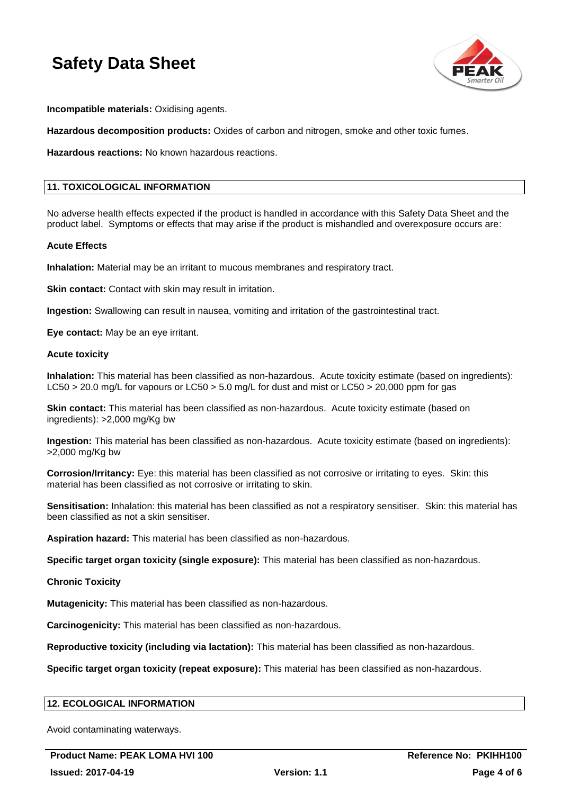

**Incompatible materials:** Oxidising agents.

**Hazardous decomposition products:** Oxides of carbon and nitrogen, smoke and other toxic fumes.

**Hazardous reactions:** No known hazardous reactions.

# **11. TOXICOLOGICAL INFORMATION**

No adverse health effects expected if the product is handled in accordance with this Safety Data Sheet and the product label. Symptoms or effects that may arise if the product is mishandled and overexposure occurs are:

#### **Acute Effects**

**Inhalation:** Material may be an irritant to mucous membranes and respiratory tract.

**Skin contact:** Contact with skin may result in irritation.

**Ingestion:** Swallowing can result in nausea, vomiting and irritation of the gastrointestinal tract.

**Eye contact:** May be an eye irritant.

#### **Acute toxicity**

**Inhalation:** This material has been classified as non-hazardous. Acute toxicity estimate (based on ingredients): LC50 > 20.0 mg/L for vapours or LC50 > 5.0 mg/L for dust and mist or LC50 > 20,000 ppm for gas

**Skin contact:** This material has been classified as non-hazardous. Acute toxicity estimate (based on ingredients): >2,000 mg/Kg bw

**Ingestion:** This material has been classified as non-hazardous. Acute toxicity estimate (based on ingredients): >2,000 mg/Kg bw

**Corrosion/Irritancy:** Eye: this material has been classified as not corrosive or irritating to eyes. Skin: this material has been classified as not corrosive or irritating to skin.

**Sensitisation:** Inhalation: this material has been classified as not a respiratory sensitiser. Skin: this material has been classified as not a skin sensitiser.

**Aspiration hazard:** This material has been classified as non-hazardous.

**Specific target organ toxicity (single exposure):** This material has been classified as non-hazardous.

**Chronic Toxicity**

**Mutagenicity:** This material has been classified as non-hazardous.

**Carcinogenicity:** This material has been classified as non-hazardous.

**Reproductive toxicity (including via lactation):** This material has been classified as non-hazardous.

**Specific target organ toxicity (repeat exposure):** This material has been classified as non-hazardous.

## **12. ECOLOGICAL INFORMATION**

Avoid contaminating waterways.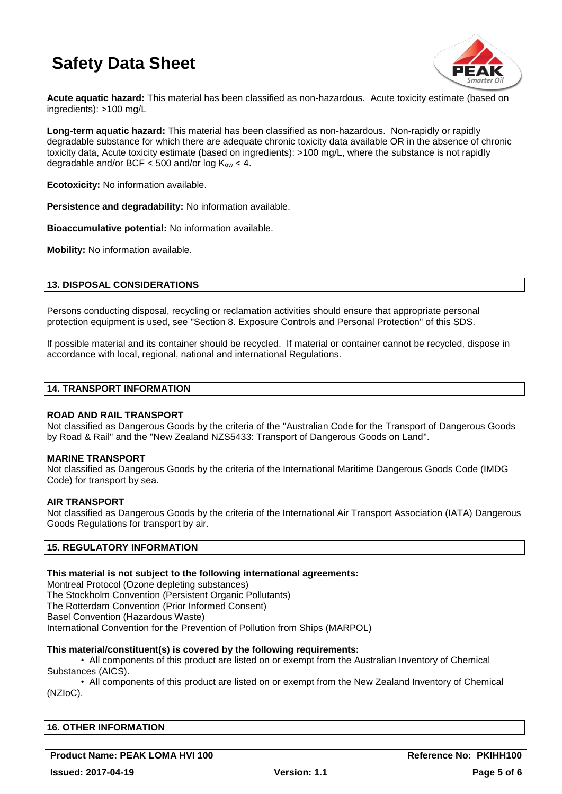

**Acute aquatic hazard:** This material has been classified as non-hazardous. Acute toxicity estimate (based on ingredients): >100 mg/L

**Long-term aquatic hazard:** This material has been classified as non-hazardous. Non-rapidly or rapidly degradable substance for which there are adequate chronic toxicity data available OR in the absence of chronic toxicity data, Acute toxicity estimate (based on ingredients): >100 mg/L, where the substance is not rapidly degradable and/or BCF  $<$  500 and/or log  $K_{ow}$   $<$  4.

**Ecotoxicity:** No information available.

**Persistence and degradability:** No information available.

**Bioaccumulative potential:** No information available.

**Mobility:** No information available.

## **13. DISPOSAL CONSIDERATIONS**

Persons conducting disposal, recycling or reclamation activities should ensure that appropriate personal protection equipment is used, see "Section 8. Exposure Controls and Personal Protection" of this SDS.

If possible material and its container should be recycled. If material or container cannot be recycled, dispose in accordance with local, regional, national and international Regulations.

#### **14. TRANSPORT INFORMATION**

#### **ROAD AND RAIL TRANSPORT**

Not classified as Dangerous Goods by the criteria of the "Australian Code for the Transport of Dangerous Goods by Road & Rail" and the "New Zealand NZS5433: Transport of Dangerous Goods on Land".

#### **MARINE TRANSPORT**

Not classified as Dangerous Goods by the criteria of the International Maritime Dangerous Goods Code (IMDG Code) for transport by sea.

#### **AIR TRANSPORT**

Not classified as Dangerous Goods by the criteria of the International Air Transport Association (IATA) Dangerous Goods Regulations for transport by air.

## **15. REGULATORY INFORMATION**

#### **This material is not subject to the following international agreements:**

Montreal Protocol (Ozone depleting substances) The Stockholm Convention (Persistent Organic Pollutants) The Rotterdam Convention (Prior Informed Consent) Basel Convention (Hazardous Waste) International Convention for the Prevention of Pollution from Ships (MARPOL)

#### **This material/constituent(s) is covered by the following requirements:**

• All components of this product are listed on or exempt from the Australian Inventory of Chemical Substances (AICS).

• All components of this product are listed on or exempt from the New Zealand Inventory of Chemical (NZIoC).

| <b>16. OTHER INFORMATION</b> |  |
|------------------------------|--|
|                              |  |